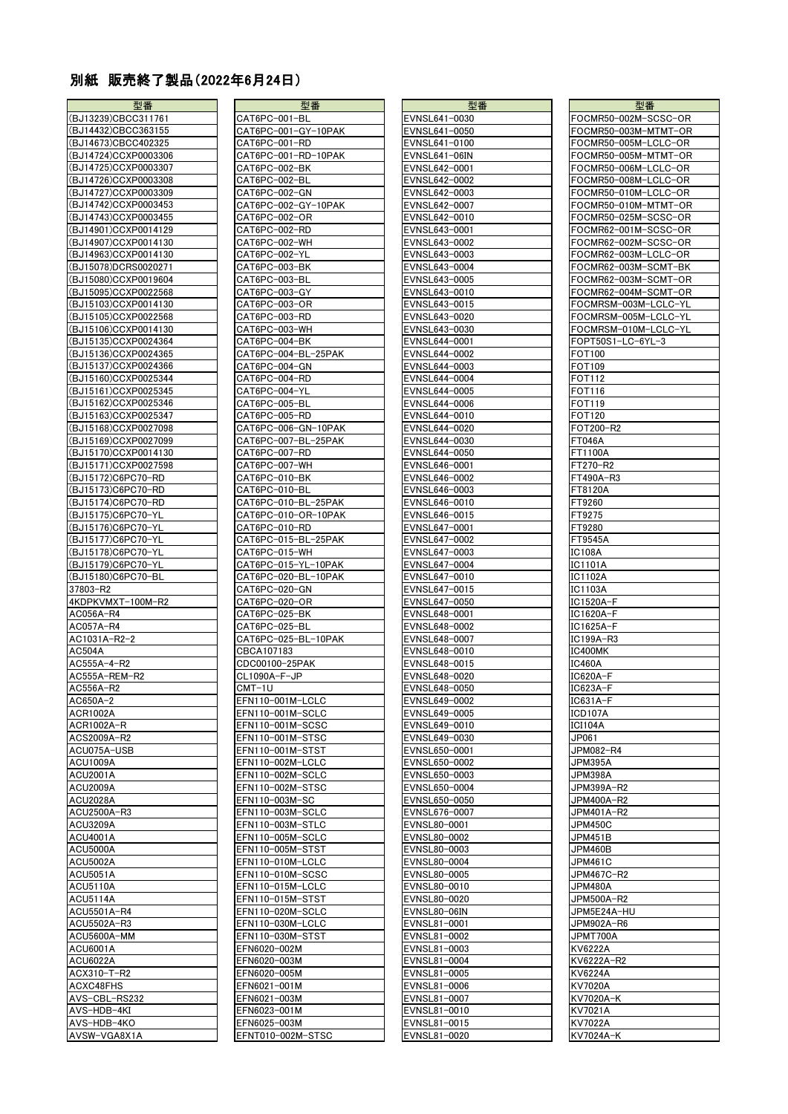## 別紙 販売終了製品(2022年6月24日)

| 型番                   | 型番                  | 型番            | 型番                   |
|----------------------|---------------------|---------------|----------------------|
| (BJ13239)CBCC311761  | CAT6PC-001-BL       | EVNSL641-0030 | FOCMR50-002M-SCSC-OR |
| (BJ14432)CBCC363155  | CAT6PC-001-GY-10PAK | EVNSL641-0050 | FOCMR50-003M-MTMT-OF |
| (BJ14673)CBCC402325  | CAT6PC-001-RD       | EVNSL641-0100 | FOCMR50-005M-LCLC-OR |
| (BJ14724)CCXP0003306 | CAT6PC-001-RD-10PAK | EVNSL641-06IN | FOCMR50-005M-MTMT-OF |
| (BJ14725)CCXP0003307 | CAT6PC-002-BK       | EVNSL642-0001 | FOCMR50-006M-LCLC-OR |
| (BJ14726)CCXP0003308 | CAT6PC-002-BL       | EVNSL642-0002 | FOCMR50-008M-LCLC-OR |
| (BJ14727)CCXP0003309 |                     |               |                      |
|                      | CAT6PC-002-GN       | EVNSL642-0003 | FOCMR50-010M-LCLC-OR |
| (BJ14742)CCXP0003453 | CAT6PC-002-GY-10PAK | EVNSL642-0007 | FOCMR50-010M-MTMT-OF |
| (BJ14743)CCXP0003455 | CAT6PC-002-OR       | EVNSL642-0010 | FOCMR50-025M-SCSC-OR |
| (BJ14901)CCXP0014129 | CAT6PC-002-RD       | EVNSL643-0001 | FOCMR62-001M-SCSC-OR |
| (BJ14907)CCXP0014130 | CAT6PC-002-WH       | EVNSL643-0002 | FOCMR62-002M-SCSC-OR |
| (BJ14963)CCXP0014130 | CAT6PC-002-YL       | EVNSL643-0003 | FOCMR62-003M-LCLC-OR |
| (BJ15078)DCRS0020271 | CAT6PC-003-BK       | EVNSL643-0004 | FOCMR62-003M-SCMT-BK |
| BJ15080)CCXP0019604  | CAT6PC-003-BL       | EVNSL643-0005 | FOCMR62-003M-SCMT-OR |
| (BJ15095)CCXP0022568 | CAT6PC-003-GY       | EVNSL643-0010 | FOCMR62-004M-SCMT-OR |
| (BJ15103)CCXP0014130 | CAT6PC-003-OR       | EVNSL643-0015 | FOCMRSM-003M-LCLC-YL |
| (BJ15105)CCXP0022568 | CAT6PC-003-RD       | EVNSL643-0020 | FOCMRSM-005M-LCLC-YL |
| (BJ15106)CCXP0014130 | CAT6PC-003-WH       | EVNSL643-0030 | FOCMRSM-010M-LCLC-YL |
| (BJ15135)CCXP0024364 | CAT6PC-004-BK       | EVNSL644-0001 | FOPT50S1-LC-6YL-3    |
| (BJ15136)CCXP0024365 | CAT6PC-004-BL-25PAK | EVNSL644-0002 | FOT100               |
| (BJ15137)CCXP0024366 | CAT6PC-004-GN       | EVNSL644-0003 | FOT109               |
| (BJ15160)CCXP0025344 | CAT6PC-004-RD       | EVNSL644-0004 | FOT112               |
| (BJ15161)CCXP0025345 | CAT6PC-004-YL       | EVNSL644-0005 | FOT116               |
| (BJ15162)CCXP0025346 | CAT6PC-005-BL       | EVNSL644-0006 | <b>FOT119</b>        |
| (BJ15163)CCXP0025347 | CAT6PC-005-RD       | EVNSL644-0010 | FOT120               |
| (BJ15168)CCXP0027098 | CAT6PC-006-GN-10PAK | EVNSL644-0020 | FOT200-R2            |
| (BJ15169)CCXP0027099 | CAT6PC-007-BL-25PAK | EVNSL644-0030 | <b>FT046A</b>        |
| (BJ15170)CCXP0014130 | CAT6PC-007-RD       | EVNSL644-0050 | FT1100A              |
| (BJ15171)CCXP0027598 | CAT6PC-007-WH       | EVNSL646-0001 | FT270-R2             |
| (BJ15172)C6PC70-RD   | CAT6PC-010-BK       | EVNSL646-0002 | FT490A-R3            |
|                      |                     |               |                      |
| (BJ15173)C6PC70-RD   | CAT6PC-010-BL       | EVNSL646-0003 | FT8120A              |
| (BJ15174)C6PC70-RD   | CAT6PC-010-BL-25PAK | EVNSL646-0010 | FT9260               |
| (BJ15175)C6PC70-YL   | CAT6PC-010-OR-10PAK | EVNSL646-0015 | FT9275               |
| (BJ15176)C6PC70-YL   | CAT6PC-010-RD       | EVNSL647-0001 | FT9280               |
| (BJ15177)C6PC70-YL   | CAT6PC-015-BL-25PAK | EVNSL647-0002 | FT9545A              |
| (BJ15178)C6PC70-YL   | CAT6PC-015-WH       | EVNSL647-0003 | IC108A               |
| (BJ15179)C6PC70-YL   | CAT6PC-015-YL-10PAK | EVNSL647-0004 | IC1101A              |
| (BJ15180)C6PC70-BL   | CAT6PC-020-BL-10PAK | EVNSL647-0010 | <b>IC1102A</b>       |
| 37803-R2             | CAT6PC-020-GN       | EVNSL647-0015 | IC1103A              |
| 4KDPKVMXT-100M-R2    | CAT6PC-020-OR       | EVNSL647-0050 | IC1520A-F            |
| AC056A-R4            | CAT6PC-025-BK       | EVNSL648-0001 | IC1620A-F            |
| AC057A-R4            | CAT6PC-025-BL       | EVNSL648-0002 | IC1625A-F            |
| AC1031A-R2-2         | CAT6PC-025-BL-10PAK | EVNSL648-0007 | IC199A-R3            |
| AC504A               | CBCA107183          | EVNSL648-0010 | IC400MK              |
| AC555A-4-R2          | CDC00100-25PAK      | EVNSL648-0015 | IC460A               |
| AC555A-REM-R2        | CL1090A-F-JP        | EVNSL648-0020 | IC620A-F             |
| AC556A-R2            | $CMT-1U$            | EVNSL648-0050 | IC623A-F             |
| AC650A-2             | EFN110-001M-LCLC    | EVNSL649-0002 | IC631A-F             |
| <b>ACR1002A</b>      | EFN110-001M-SCLC    | EVNSL649-0005 | ICD107A              |
| ACR1002A-R           | EFN110-001M-SCSC    | EVNSL649-0010 | ICI104A              |
| ACS2009A-R2          | EFN110-001M-STSC    | EVNSL649-0030 | JP061                |
| ACU075A-USB          | EFN110-001M-STST    | EVNSL650-0001 | JPM082-R4            |
| ACU1009A             | EFN110-002M-LCLC    | EVNSL650-0002 | JPM395A              |
| <b>ACU2001A</b>      | EFN110-002M-SCLC    | EVNSL650-0003 | JPM398A              |
| ACU2009A             | EFN110-002M-STSC    | EVNSL650-0004 | JPM399A-R2           |
| ACU2028A             | EFN110-003M-SC      | EVNSL650-0050 | JPM400A-R2           |
| ACU2500A-R3          | EFN110-003M-SCLC    | EVNSL676-0007 | JPM401A-R2           |
| ACU3209A             | EFN110-003M-STLC    | EVNSL80-0001  | JPM450C              |
| <b>ACU4001A</b>      | EFN110-005M-SCLC    | EVNSL80-0002  | JPM451B              |
| ACU5000A             | EFN110-005M-STST    | EVNSL80-0003  | JPM460B              |
| <b>ACU5002A</b>      | EFN110-010M-LCLC    | EVNSL80-0004  | JPM461C              |
| <b>ACU5051A</b>      | EFN110-010M-SCSC    | EVNSL80-0005  | JPM467C-R2           |
| <b>ACU5110A</b>      | EFN110-015M-LCLC    | EVNSL80-0010  | JPM480A              |
| ACU5114A             | EFN110-015M-STST    | EVNSL80-0020  | JPM500A-R2           |
| ACU5501A-R4          | EFN110-020M-SCLC    | EVNSL80-06IN  | JPM5E24A-HU          |
| ACU5502A-R3          | EFN110-030M-LCLC    | EVNSL81-0001  | JPM902A-R6           |
| ACU5600A-MM          | EFN110-030M-STST    | EVNSL81-0002  | JPMT700A             |
| ACU6001A             | EFN6020-002M        | EVNSL81-0003  | KV6222A              |
| ACU6022A             | EFN6020-003M        | EVNSL81-0004  | KV6222A-R2           |
| ACX310-T-R2          | EFN6020-005M        | EVNSL81-0005  | <b>KV6224A</b>       |
| ACXC48FHS            | EFN6021-001M        | EVNSL81-0006  | KV7020A              |
| AVS-CBL-RS232        | EFN6021-003M        | EVNSL81-0007  | KV7020A-K            |
| AVS-HDB-4KI          | EFN6023-001M        | EVNSL81-0010  | KV7021A              |
| AVS-HDB-4KO          | EFN6025-003M        | EVNSL81-0015  | KV7022A              |
|                      |                     |               |                      |

| 型番                   | 型番                  | 型番            | 型番              |
|----------------------|---------------------|---------------|-----------------|
| (BJ13239)CBCC311761  | CAT6PC-001-BL       | EVNSL641-0030 | FOCMR50-002M-S  |
| (BJ14432)CBCC363155  | CAT6PC-001-GY-10PAK | EVNSL641-0050 | FOCMR50-003M-M  |
| (BJ14673)CBCC402325  | CAT6PC-001-RD       | EVNSL641-0100 | FOCMR50-005M-L  |
| (BJ14724)CCXP0003306 | CAT6PC-001-RD-10PAK | EVNSL641-06IN | FOCMR50-005M-M  |
| (BJ14725)CCXP0003307 | CAT6PC-002-BK       | EVNSL642-0001 | FOCMR50-006M-L  |
| (BJ14726)CCXP0003308 | CAT6PC-002-BL       | EVNSL642-0002 | FOCMR50-008M-L  |
| (BJ14727)CCXP0003309 |                     |               |                 |
|                      | CAT6PC-002-GN       | EVNSL642-0003 | FOCMR50-010M-L  |
| (BJ14742)CCXP0003453 | CAT6PC-002-GY-10PAK | EVNSL642-0007 | FOCMR50-010M-M  |
| (BJ14743)CCXP0003455 | CAT6PC-002-OR       | EVNSL642-0010 | FOCMR50-025M-S  |
| (BJ14901)CCXP0014129 | CAT6PC-002-RD       | EVNSL643-0001 | FOCMR62-001M-S  |
| (BJ14907)CCXP0014130 | CAT6PC-002-WH       | EVNSL643-0002 | FOCMR62-002M-S  |
| (BJ14963)CCXP0014130 | CAT6PC-002-YL       | EVNSL643-0003 | FOCMR62-003M-L  |
| (BJ15078)DCRS0020271 | CAT6PC-003-BK       | EVNSL643-0004 | FOCMR62-003M-S  |
| (BJ15080)CCXP0019604 | CAT6PC-003-BL       | EVNSL643-0005 | FOCMR62-003M-S  |
| (BJ15095)CCXP0022568 | CAT6PC-003-GY       | EVNSL643-0010 | FOCMR62-004M-S  |
|                      |                     |               |                 |
| (BJ15103)CCXP0014130 | CAT6PC-003-OR       | EVNSL643-0015 | FOCMRSM-003M-L  |
| (BJ15105)CCXP0022568 | CAT6PC-003-RD       | EVNSL643-0020 | FOCMRSM-005M-L  |
| (BJ15106)CCXP0014130 | CAT6PC-003-WH       | EVNSL643-0030 | FOCMRSM-010M-L  |
| (BJ15135)CCXP0024364 | CAT6PC-004-BK       | EVNSL644-0001 | FOPT50S1-LC-6YL |
| (BJ15136)CCXP0024365 | CAT6PC-004-BL-25PAK | EVNSL644-0002 | FOT100          |
| (BJ15137)CCXP0024366 | CAT6PC-004-GN       | EVNSL644-0003 | <b>FOT109</b>   |
| (BJ15160)CCXP0025344 | CAT6PC-004-RD       | EVNSL644-0004 | FOT112          |
| (BJ15161)CCXP0025345 | CAT6PC-004-YL       | EVNSL644-0005 | FOT116          |
|                      |                     |               |                 |
| (BJ15162)CCXP0025346 | CAT6PC-005-BL       | EVNSL644-0006 | FOT119          |
| (BJ15163)CCXP0025347 | CAT6PC-005-RD       | EVNSL644-0010 | <b>FOT120</b>   |
| (BJ15168)CCXP0027098 | CAT6PC-006-GN-10PAK | EVNSL644-0020 | FOT200-R2       |
| (BJ15169)CCXP0027099 | CAT6PC-007-BL-25PAK | EVNSL644-0030 | <b>FT046A</b>   |
| (BJ15170)CCXP0014130 | CAT6PC-007-RD       | EVNSL644-0050 | FT1100A         |
| (BJ15171)CCXP0027598 | CAT6PC-007-WH       | EVNSL646-0001 | FT270-R2        |
| (BJ15172)C6PC70-RD   | CAT6PC-010-BK       | EVNSL646-0002 | FT490A-R3       |
| (BJ15173)C6PC70-RD   | CAT6PC-010-BL       | EVNSL646-0003 | FT8120A         |
| (BJ15174)C6PC70-RD   | CAT6PC-010-BL-25PAK | EVNSL646-0010 | FT9260          |
|                      |                     |               |                 |
| (BJ15175)C6PC70-YL   | CAT6PC-010-OR-10PAK | EVNSL646-0015 | FT9275          |
| (BJ15176)C6PC70-YL   | CAT6PC-010-RD       | EVNSL647-0001 | FT9280          |
| (BJ15177)C6PC70-YL   | CAT6PC-015-BL-25PAK | EVNSL647-0002 | FT9545A         |
| (BJ15178)C6PC70-YL   | CAT6PC-015-WH       | EVNSL647-0003 | IC108A          |
| (BJ15179)C6PC70-YL   | CAT6PC-015-YL-10PAK | EVNSL647-0004 | IC1101A         |
| (BJ15180)C6PC70-BL   | CAT6PC-020-BL-10PAK | EVNSL647-0010 | <b>IC1102A</b>  |
| 37803-R2             | CAT6PC-020-GN       | EVNSL647-0015 | IC1103A         |
| 4KDPKVMXT-100M-R2    | CAT6PC-020-OR       | EVNSL647-0050 | IC1520A-F       |
| AC056A-R4            | CAT6PC-025-BK       | EVNSL648-0001 | IC1620A-F       |
|                      |                     |               |                 |
| AC057A-R4            | CAT6PC-025-BL       | EVNSL648-0002 | IC1625A-F       |
| AC1031A-R2-2         | CAT6PC-025-BL-10PAK | EVNSL648-0007 | IC199A-R3       |
| <b>AC504A</b>        | CBCA107183          | EVNSL648-0010 | IC400MK         |
| AC555A-4-R2          | CDC00100-25PAK      | EVNSL648-0015 | <b>IC460A</b>   |
| AC555A-REM-R2        | CL1090A-F-JP        | EVNSL648-0020 | IC620A-F        |
| AC556A-R2            | $CMT-1U$            | EVNSL648-0050 | IC623A-F        |
| AC650A-2             | EFN110-001M-LCLC    | EVNSL649-0002 | IC631A-F        |
| <b>ACR1002A</b>      | EFN110-001M-SCLC    | EVNSL649-0005 | ICD107A         |
| ACR1002A-R           | EFN110-001M-SCSC    | EVNSL649-0010 | <b>ICI104A</b>  |
|                      |                     |               |                 |
| ACS2009A-R2          | EFN110-001M-STSC    | EVNSL649-0030 | JP061           |
| ACU075A-USB          | EFN110-001M-STST    | EVNSL650-0001 | JPM082-R4       |
| ACU1009A             | EFN110-002M-LCLC    | EVNSL650-0002 | <b>JPM395A</b>  |
| <b>ACU2001A</b>      | EFN110-002M-SCLC    | EVNSL650-0003 | JPM398A         |
| <b>ACU2009A</b>      | EFN110-002M-STSC    | EVNSL650-0004 | JPM399A-R2      |
| ACU2028A             | EFN110-003M-SC      | EVNSL650-0050 | JPM400A-R2      |
| ACU2500A-R3          | EFN110-003M-SCLC    | EVNSL676-0007 | JPM401A-R2      |
| ACU3209A             | EFN110-003M-STLC    | EVNSL80-0001  | JPM450C         |
| <b>ACU4001A</b>      | EFN110-005M-SCLC    | EVNSL80-0002  | JPM451B         |
| <b>ACU5000A</b>      |                     |               | <b>JPM460B</b>  |
|                      | EFN110-005M-STST    | EVNSL80-0003  |                 |
| <b>ACU5002A</b>      | EFN110-010M-LCLC    | EVNSL80-0004  | JPM461C         |
| <b>ACU5051A</b>      | EFN110-010M-SCSC    | EVNSL80-0005  | JPM467C-R2      |
| <b>ACU5110A</b>      | EFN110-015M-LCLC    | EVNSL80-0010  | <b>JPM480A</b>  |
| <b>ACU5114A</b>      | EFN110-015M-STST    | EVNSL80-0020  | JPM500A-R2      |
| ACU5501A-R4          | EFN110-020M-SCLC    | EVNSL80-06IN  | JPM5E24A-HU     |
| ACU5502A-R3          | EFN110-030M-LCLC    | EVNSL81-0001  | JPM902A-R6      |
| ACU5600A-MM          | EFN110-030M-STST    | EVNSL81-0002  | JPMT700A        |
|                      |                     |               | KV6222A         |
| ACU6001A             | EFN6020-002M        | EVNSL81-0003  |                 |
| ACU6022A             | EFN6020-003M        | EVNSL81-0004  | KV6222A-R2      |
| ACX310-T-R2          | EFN6020-005M        | EVNSL81-0005  | KV6224A         |
| ACXC48FHS            | EFN6021-001M        | EVNSL81-0006  | KV7020A         |
| AVS-CBL-RS232        | EFN6021-003M        | EVNSL81-0007  | KV7020A-K       |
| AVS-HDB-4KI          | EFN6023-001M        | EVNSL81-0010  | KV7021A         |
| AVS-HDB-4KO          | EFN6025-003M        | EVNSL81-0015  | KV7022A         |
| AVSW-VGA8X1A         | EFNT010-002M-STSC   | EVNSL81-0020  | KV7024A-K       |
|                      |                     |               |                 |

| 型番                                  |
|-------------------------------------|
| EVNSL641-0030                       |
| EVNSL641-0050                       |
| EVNSL641-0100                       |
| EVNSL641-06IN                       |
| VNSL642-0001                        |
| EVNSL642-<br>0002-                  |
| EVNSL642-<br>-0003                  |
| EVNSL642-<br>0007-<br>EVNSL642-0010 |
| EVNSL643-0001                       |
| EVNSL643-<br>0002-                  |
| EVNSL643-0003                       |
| EVNSL643-0004                       |
| EVNSL643-0005                       |
| EVNSL643-0010                       |
| EVNSL643-0015                       |
| EVNSL643-0020                       |
| EVNSL643-<br>0030-                  |
| EVNSL644-0001                       |
| EVNSL644-0002                       |
| EVNSL644-0003                       |
| EVNSL644-<br>-0004                  |
| EVNSL644-0005                       |
| EVNSL644-0006                       |
| $\overline{\text{EVISL}}$ 644-0010  |
| EVNSL644-0020<br>EVNSL644-0030      |
| EVNSL644-0050                       |
| EVNSL646-0001                       |
| EVNSL646-0002                       |
| EVNSL646-0003                       |
| EVNSL646-<br>0010-                  |
| EVNSL646-<br>-0015                  |
| EVNSL647-<br>-0001                  |
| EVNSL647-0002                       |
| :VNSL647-<br>0003-                  |
| EVNSL647-0004                       |
| EVNSL647-<br>-0010                  |
| EVNSL647-0015                       |
| :VNSL647-0050                       |
| <u>EVNSL648-</u><br>0001-           |
| EVNSL648-0002                       |
| EVNSL648-<br>0007<br>EVNSL648-0010  |
| EVNSL648-<br>$-0015$                |
| EVNSL648-0020                       |
| EVNSL648-<br>-0050                  |
| $\overline{\text{EVISL}}$ 649-0002  |
| EVNSL649-0005                       |
| EVNSL649-0010                       |
| EVNSL649-0030                       |
| <b>EVNSL650-</b><br>0001-           |
| EVNSL650-0002                       |
| EVNSL650-0003                       |
| EVNSL650-0004                       |
| VNSL650-0050                        |
| EVNSL676-0007                       |
| EVNSL80-0001                        |
| EVNSL80-0002<br>EVNSL80-0003        |
| :VNSL80-0004                        |
| EVNSL80-0005                        |
| EVNSL80-0010                        |
| EVNSL80-0020                        |
| EVNSL80-06IN                        |
| EVNSL<br>81-<br>$-0001$             |
| EVNSL<br>.81-0002                   |
| EVNSL81-<br>-0003                   |
| EVNSL81-<br>$-0004$                 |
| EVNSL81-<br>-0005                   |
| EVNSL81-<br>$-0006$                 |
| EVNSL81-<br>-0007                   |
| EVNSL81-<br>0010                    |
| EVNSL<br>81-<br>0015-               |
| <b>VNSL</b><br>0020-<br>81-         |

| 型番                                           |
|----------------------------------------------|
| FOCMR50-002M-SCSC-OR                         |
| FOCMR50-003M-MTMT-OR                         |
| FOCMR50-005M-LCLC-OR                         |
| FOCMR50-005M-MTMT-OR<br>FOCMR50-006M-LCLC-OR |
| FOCMR50-008M-LCLC-OR                         |
| FOCMR50-010M-LCLC-OR                         |
| FOCMR50-010M-MTMT-OR                         |
| FOCMR50-025M-SCSC-OR                         |
| FOCMR62-001M-SCSC-OR<br>FOCMR62-002M-SCSC-OR |
| FOCMR62-003M-LCLC-OR                         |
| FOCMR62-003M-SCMT-BK                         |
| FOCMR62-003M-SCMT-OR                         |
| FOCMR62-004M-SCMT-OR                         |
| FOCMRSM-003M-LCLC-YL                         |
| FOCMRSM-005M-LCLC-YL<br>FOCMRSM-010M-LCLC-YL |
| FOPT50S1-LC-6YL-3                            |
| <b>FOT100</b>                                |
| <b>FOT109</b>                                |
| <b>FOT112</b>                                |
| <b>FOT116</b>                                |
| <b>FOT119</b><br><b>FOT120</b>               |
| FOT200-R2                                    |
| <b>FT046A</b>                                |
| FT1100A                                      |
| FT270-R2                                     |
| FT490A-R3                                    |
| FT8120A<br>FT9260                            |
| FT9275                                       |
| FT9280                                       |
| FT9545A                                      |
| <b>IC108A</b>                                |
| IC1101A                                      |
| <b>IC1102A</b><br>IC1103A                    |
| IC1520A-F                                    |
| IC1620A-F                                    |
| IC1625A-F                                    |
| IC199A-R3                                    |
| IC400MK<br><b>IC460A</b>                     |
| IC620A-<br>۰F                                |
| IC623A                                       |
| IC631A-F                                     |
| ICD107A                                      |
| ICI104A                                      |
| JP061<br>JPM082-R4                           |
| JPM395A                                      |
| <b>JPM398A</b>                               |
| JPM399A-R2                                   |
| JPM400A-<br>-R2                              |
| JPM401A-R2                                   |
| JPM450C<br><b>JPM451B</b>                    |
| JPM460B                                      |
| <b>JPM461C</b>                               |
| JPM467C-R2                                   |
| <b>JPM480A</b>                               |
| JPM500A-R2<br>JPM5E24A-HU                    |
| JPM902A-R6                                   |
| JPMT700A                                     |
| KV6222A                                      |
| KV6222A-<br>-R2                              |
| KV6224A                                      |
| KV7020A<br>KV7020A-K                         |
| KV7021A                                      |
| KV7022A                                      |
| KV7024A-K                                    |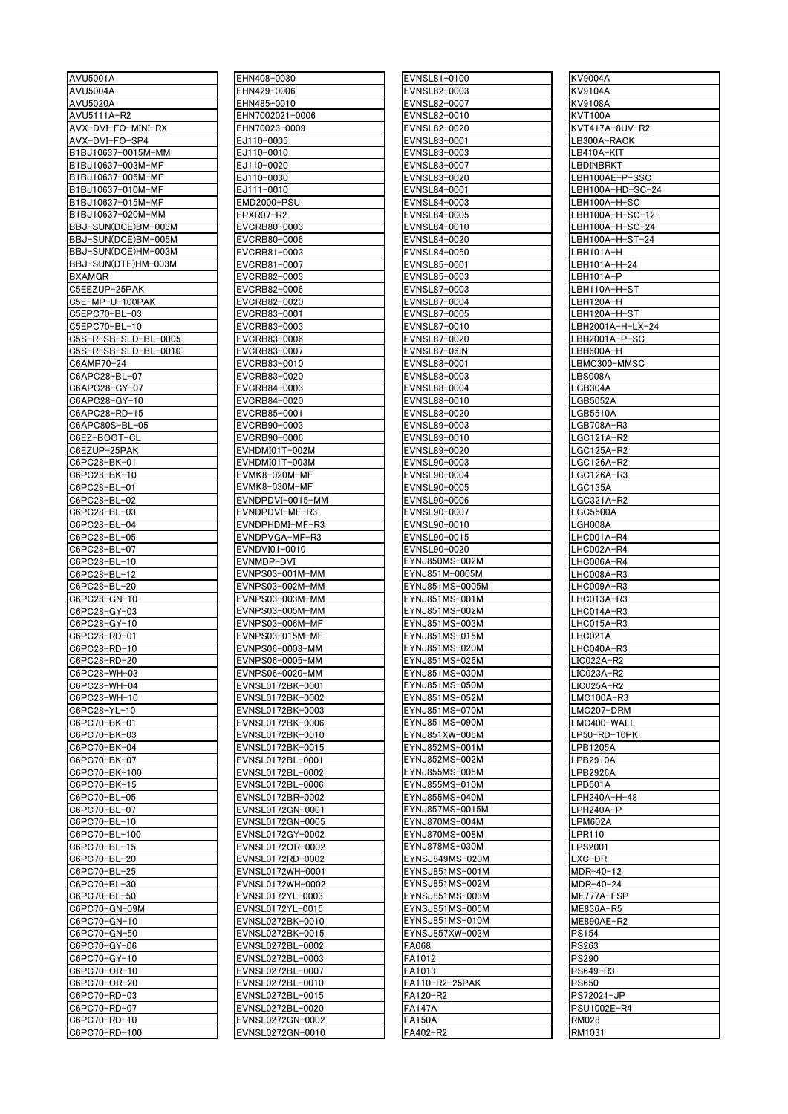| AVU5001A                                |
|-----------------------------------------|
| AVU5004A                                |
| <b>AVU5020A</b>                         |
| AVU5111A-R2                             |
| AVX-DVI-FO-MINI-RX                      |
| AVX-DVI-FO-SP4                          |
| B1BJ10637-0015M-MM<br>B1BJ10637-003M-MF |
| B1BJ10637-005M-MF                       |
| B1BJ10637-010M-MF                       |
| B1BJ10637-015M-MF                       |
| B1BJ10637-020M-MM                       |
| BBJ-SUN(DCE)BM-003M                     |
| BBJ-SUN(DCE)BM-005M                     |
| BBJ-SUN(DCE)HM-003M                     |
| BBJ-SUN(DTE)HM-003M                     |
| <b>BXAMGR</b>                           |
| C5EEZUP-25PAK                           |
| C5E-MP-U-100PAK<br>C5EPC70-BL-03        |
| C5EPC70-BL-10                           |
| C5S-R-SB-SLD-BL-0005                    |
| C5S-R-SB-SLD-BL-0010                    |
| C6AMP70-24                              |
| C6APC28-BL-07                           |
| C6APC28-GY-07                           |
| C6APC28-GY-10                           |
| C6APC28-RD-15                           |
| C6APC80S-BL-05                          |
| C6EZ-BOOT-CL                            |
| C6EZUP-25PAK                            |
| C6PC28-BK-01<br>C6PC28-BK-10            |
| C6PC28-BL-01                            |
| C6PC28-BL-02                            |
| C6PC28-BL-03                            |
| C6PC28-BL-<br>-04                       |
| C6PC28-BL-05                            |
| C6PC28-BL-07                            |
| C6PC28-BL-10                            |
| C6PC28-BL-12                            |
| C6PC28-<br>-BL-20                       |
| C6PC28-GN-10                            |
| C6PC28-GY-03<br>C6PC28-GY-10            |
| C6PC28-RD-01                            |
| C6PC28-RD-10                            |
| C6PC28-RD-20                            |
| C6PC28-WH-03                            |
| C6PC28-WH-04                            |
| C6PC28-<br>-WH-10                       |
| C6PC28-<br>-YL-<br>10٠                  |
| C6PC70-BK-<br>-01                       |
| C6PC70-BK-<br>-03                       |
| C6PC70-BK-04<br>C6PC70-<br>-BK-07       |
| C6PC70<br>·BK·<br>100-                  |
| C6PC70<br>·BK·<br>15∙                   |
| C6PC70-BL-05                            |
| C6PC70-<br>-BL·<br>-07                  |
| C6PC70-BL-10                            |
| C6PC70-BL<br>-100                       |
| C6PC70-BL-<br>-15                       |
| C6PC70-BL-<br>-20                       |
| $-25$<br>C6PC70-<br>-BL·                |
| C6PC70-BL<br>-30                        |
| C6PC70<br>·BL·<br>-50                   |
| C6PC70-GN-09M<br>C6PC70-GN-10           |
| C6PC70-GN-50                            |
|                                         |
| C6PC70-<br>-GY-<br>-06                  |
| C6PC70-<br>۵Y-<br>-10                   |
| C6PC70-OR-<br>-10                       |
| C6PC70-<br>-OR-<br>-20                  |
| C6PC70-RD-03                            |
| C6PC70-RD-<br>-07<br>C6PC70-RD-10       |

| AVU5001A             | EHN408-0030      | EVNSL81-0100    | <b>KV9004A</b>   |
|----------------------|------------------|-----------------|------------------|
| <b>AVU5004A</b>      | EHN429-0006      | EVNSL82-0003    | KV9104A          |
| <b>AVU5020A</b>      | EHN485-0010      | EVNSL82-0007    | KV9108A          |
| AVU5111A-R2          | EHN7002021-0006  | EVNSL82-0010    | KVT100A          |
| AVX-DVI-FO-MINI-RX   | EHN70023-0009    | EVNSL82-0020    | KVT417A-8UV-R2   |
|                      |                  |                 |                  |
| AVX-DVI-FO-SP4       | EJ110-0005       | EVNSL83-0001    | LB300A-RACK      |
| B1BJ10637-0015M-MM   | EJ110-0010       | EVNSL83-0003    | LB410A-KIT       |
| B1BJ10637-003M-MF    | EJ110-0020       | EVNSL83-0007    | LBDINBRKT        |
| B1BJ10637-005M-MF    | EJ110-0030       | EVNSL83-0020    | LBH100AE-P-SSC   |
| B1BJ10637-010M-MF    | EJ111-0010       | EVNSL84-0001    | LBH100A-HD-SC-24 |
| B1BJ10637-015M-MF    | EMD2000-PSU      | EVNSL84-0003    | LBH100A-H-SC     |
| B1BJ10637-020M-MM    | EPXR07-R2        | EVNSL84-0005    | LBH100A-H-SC-12  |
| BBJ-SUN(DCE)BM-003M  | EVCRB80-0003     | EVNSL84-0010    | LBH100A-H-SC-24  |
|                      |                  |                 |                  |
| BBJ-SUN(DCE)BM-005M  | EVCRB80-0006     | EVNSL84-0020    | LBH100A-H-ST-24  |
| BBJ-SUN(DCE)HM-003M  | EVCRB81-0003     | EVNSL84-0050    | LBH101A-H        |
| BBJ-SUN(DTE)HM-003M  | EVCRB81-0007     | EVNSL85-0001    | LBH101A-H-24     |
| <b>BXAMGR</b>        | EVCRB82-0003     | EVNSL85-0003    | LBH101A-P        |
| C5EEZUP-25PAK        | EVCRB82-0006     | EVNSL87-0003    | LBH110A-H-ST     |
| C5E-MP-U-100PAK      | EVCRB82-0020     | EVNSL87-0004    | LBH120A-H        |
| C5EPC70-BL-03        | EVCRB83-0001     | EVNSL87-0005    | LBH120A-H-ST     |
| C5EPC70-BL-10        | EVCRB83-0003     | EVNSL87-0010    | LBH2001A-H-LX-24 |
|                      |                  | EVNSL87-0020    |                  |
| C5S-R-SB-SLD-BL-0005 | EVCRB83-0006     |                 | LBH2001A-P-SC    |
| C5S-R-SB-SLD-BL-0010 | EVCRB83-0007     | EVNSL87-06IN    | LBH600A-H        |
| C6AMP70-24           | EVCRB83-0010     | EVNSL88-0001    | LBMC300-MMSC     |
| C6APC28-BL-07        | EVCRB83-0020     | EVNSL88-0003    | LBS008A          |
| C6APC28-GY-07        | EVCRB84-0003     | EVNSL88-0004    | LGB304A          |
| C6APC28-GY-10        | EVCRB84-0020     | EVNSL88-0010    | LGB5052A         |
| C6APC28-RD-15        | EVCRB85-0001     | EVNSL88-0020    | LGB5510A         |
| C6APC80S-BL-05       | EVCRB90-0003     | EVNSL89-0003    | LGB708A-R3       |
|                      |                  |                 |                  |
| C6EZ-BOOT-CL         | EVCRB90-0006     | EVNSL89-0010    | LGC121A-R2       |
| C6EZUP-25PAK         | EVHDMI01T-002M   | EVNSL89-0020    | LGC125A-R2       |
| C6PC28-BK-01         | EVHDMI01T-003M   | EVNSL90-0003    | LGC126A-R2       |
| C6PC28-BK-10         | EVMK8-020M-MF    | EVNSL90-0004    | LGC126A-R3       |
| C6PC28-BL-01         | EVMK8-030M-MF    | EVNSL90-0005    | LGC135A          |
| C6PC28-BL-02         | EVNDPDVI-0015-MM | EVNSL90-0006    | LGC321A-R2       |
| C6PC28-BL-03         | EVNDPDVI-MF-R3   | EVNSL90-0007    | <b>LGC5500A</b>  |
| C6PC28-BL-04         | EVNDPHDMI-MF-R3  | EVNSL90-0010    | LGH008A          |
|                      |                  |                 |                  |
| C6PC28-BL-05         | EVNDPVGA-MF-R3   | EVNSL90-0015    | LHC001A-R4       |
| C6PC28-BL-07         | EVNDVI01-0010    | EVNSL90-0020    | LHC002A-R4       |
| C6PC28-BL-10         | EVNMDP-DVI       | EYNJ850MS-002M  | LHC006A-R4       |
| C6PC28-BL-12         | EVNPS03-001M-MM  | EYNJ851M-0005M  | LHC008A-R3       |
| C6PC28-BL-20         | EVNPS03-002M-MM  | EYNJ851MS-0005M | LHC009A-R3       |
| C6PC28-GN-10         | EVNPS03-003M-MM  | EYNJ851MS-001M  | LHC013A-R3       |
| C6PC28-GY-03         | EVNPS03-005M-MM  | EYNJ851MS-002M  | LHC014A-R3       |
| C6PC28-GY-10         | EVNPS03-006M-MF  | EYNJ851MS-003M  | LHC015A-R3       |
| C6PC28-RD-01         | EVNPS03-015M-MF  | EYNJ851MS-015M  | LHC021A          |
|                      |                  | EYNJ851MS-020M  |                  |
| C6PC28-RD-10         | EVNPS06-0003-MM  |                 | LHC040A-R3       |
| C6PC28-RD-20         | EVNPS06-0005-MM  | EYNJ851MS-026M  | LIC022A-R2       |
| C6PC28-WH-03         | EVNPS06-0020-MM  | EYNJ851MS-030M  | LIC023A-R2       |
| C6PC28-WH-04         | EVNSL0172BK-0001 | EYNJ851MS-050M  | LIC025A-R2       |
| C6PC28-WH-10         | EVNSL0172BK-0002 | EYNJ851MS-052M  | LMC100A-R3       |
| C6PC28-YL-10         | EVNSL0172BK-0003 | EYNJ851MS-070M  | LMC207-DRM       |
| C6PC70-BK-01         | EVNSL0172BK-0006 | EYNJ851MS-090M  | LMC400-WALL      |
| C6PC70-BK-03         | EVNSL0172BK-0010 | EYNJ851XW-005M  | LP50-RD-10PK     |
| C6PC70-BK-04         | EVNSL0172BK-0015 | EYNJ852MS-001M  | LPB1205A         |
| C6PC70-BK-07         | EVNSL0172BL-0001 | EYNJ852MS-002M  | LPB2910A         |
|                      |                  |                 |                  |
| C6PC70-BK-100        | EVNSL0172BL-0002 | EYNJ855MS-005M  | LPB2926A         |
| C6PC70-BK-15         | EVNSL0172BL-0006 | EYNJ855MS-010M  | LPD501A          |
| C6PC70-BL-05         | EVNSL0172BR-0002 | EYNJ855MS-040M  | LPH240A-H-48     |
| C6PC70-BL-07         | EVNSL0172GN-0001 | EYNJ857MS-0015M | LPH240A-P        |
| C6PC70-BL-10         | EVNSL0172GN-0005 | EYNJ870MS-004M  | LPM602A          |
| C6PC70-BL-100        | EVNSL0172GY-0002 | EYNJ870MS-008M  | LPR110           |
| C6PC70-BL-15         | EVNSL0172OR-0002 | EYNJ878MS-030M  | LPS2001          |
| C6PC70-BL-20         | EVNSL0172RD-0002 | EYNSJ849MS-020M | LXC-DR           |
| C6PC70-BL-25         | EVNSL0172WH-0001 | EYNSJ851MS-001M | MDR-40-12        |
|                      |                  |                 |                  |
| C6PC70-BL-30         | EVNSL0172WH-0002 | EYNSJ851MS-002M | MDR-40-24        |
| C6PC70-BL-50         | EVNSL0172YL-0003 | EYNSJ851MS-003M | ME777A-FSP       |
| C6PC70-GN-09M        | EVNSL0172YL-0015 | EYNSJ851MS-005M | ME836A-R5        |
| C6PC70-GN-10         | EVNSL0272BK-0010 | EYNSJ851MS-010M | ME890AE-R2       |
| C6PC70-GN-50         | EVNSL0272BK-0015 | EYNSJ857XW-003M | PS154            |
| C6PC70-GY-06         | EVNSL0272BL-0002 | FA068           | PS263            |
| C6PC70-GY-10         | EVNSL0272BL-0003 | FA1012          | PS290            |
|                      |                  |                 |                  |
| C6PC70-OR-10         | EVNSL0272BL-0007 | FA1013          | PS649-R3         |
| C6PC70-OR-20         | EVNSL0272BL-0010 | FA110-R2-25PAK  | PS650            |
| C6PC70-RD-03         | EVNSL0272BL-0015 | FA120-R2        | PS72021-JP       |
| C6PC70-RD-07         | EVNSL0272BL-0020 | FA147A          | PSU1002E-R4      |
| C6PC70-RD-10         |                  |                 | <b>RM028</b>     |
|                      | EVNSL0272GN-0002 | <b>FA150A</b>   |                  |
| C6PC70-RD-100        | EVNSL0272GN-0010 | FA402-R2        | RM1031           |

| EVNSL81-0100                                                                                                                    |
|---------------------------------------------------------------------------------------------------------------------------------|
|                                                                                                                                 |
| EVNSL82-0003                                                                                                                    |
| EVNSL82-0007                                                                                                                    |
| EVNSL82-0010                                                                                                                    |
|                                                                                                                                 |
| EVNSL82-0020                                                                                                                    |
| EVNSL83-0001                                                                                                                    |
| EVNSL83-0003                                                                                                                    |
| EVNSL83-0007                                                                                                                    |
| EVNSL83-0020                                                                                                                    |
| EVNSL84-0001                                                                                                                    |
| EVNSL84-0003                                                                                                                    |
| EVNSL84-0005                                                                                                                    |
| EVNSL84-0010                                                                                                                    |
| EVNSL84-0020                                                                                                                    |
| EVNSL84-0050                                                                                                                    |
|                                                                                                                                 |
| EVNSL85-0001                                                                                                                    |
| EVNSL85-0003                                                                                                                    |
| EVNSL87-0003<br>EVNSL87-0004                                                                                                    |
|                                                                                                                                 |
| EVNSL87-0005                                                                                                                    |
| :VNSL87-0010                                                                                                                    |
| EVNSL87-0020                                                                                                                    |
| EVNSL87-06IN                                                                                                                    |
| EVNSL88-0001                                                                                                                    |
|                                                                                                                                 |
| EVNSL88-0003                                                                                                                    |
| EVNSL88-0004                                                                                                                    |
| EVNSL88-0010                                                                                                                    |
| EVNSL88-0020                                                                                                                    |
| EVNSL89-0003                                                                                                                    |
| EVNSL89-0010                                                                                                                    |
| EVNSL89-0020                                                                                                                    |
| EVNSL90-0003                                                                                                                    |
| EVNSL90-0004                                                                                                                    |
| EVNSL90-0005                                                                                                                    |
| EVNSL90-0006                                                                                                                    |
| EVNSL90-0007                                                                                                                    |
| EVNSL90-0010                                                                                                                    |
| EVNSL90-0015                                                                                                                    |
|                                                                                                                                 |
| EVNSL90-0020                                                                                                                    |
| YNJ850MS-002M                                                                                                                   |
| EYNJ851M-0005M                                                                                                                  |
| EYNJ851MS-0005M                                                                                                                 |
| EYNJ851MS-001M                                                                                                                  |
|                                                                                                                                 |
| EYNJ851MS-003M                                                                                                                  |
|                                                                                                                                 |
| -015M                                                                                                                           |
| EYNJ851MS-<br>EYNJ851MS-020M                                                                                                    |
|                                                                                                                                 |
| YNJ851MS-026M                                                                                                                   |
| EYNJ851MS-030M                                                                                                                  |
|                                                                                                                                 |
| YNJ851MS-050M<br>EYNJ851MS-052M                                                                                                 |
|                                                                                                                                 |
|                                                                                                                                 |
|                                                                                                                                 |
|                                                                                                                                 |
|                                                                                                                                 |
|                                                                                                                                 |
| <u>EYNJ851MS-070M</u><br>EYNJ851MS-090M<br>EYNJ851XW-005M<br>EYNJ852MS-001M<br>FYNJ852MS-002M<br>YNJ855MS-005M<br>YNJ855MS-010M |
|                                                                                                                                 |
|                                                                                                                                 |
|                                                                                                                                 |
|                                                                                                                                 |
| <u>EYNJ855MS-040M</u><br>EYNJ857MS-0015M<br>$\overline{ZY}$ NJ870MS-004M<br>EYNJ870MS-008M                                      |
| EYNJ878MS-030M                                                                                                                  |
| <b>EYNSJ849MS-020M</b>                                                                                                          |
| EYNSJ851MS-001M                                                                                                                 |
| EYNSJ851MS-002M                                                                                                                 |
| EYNSJ851MS-003M                                                                                                                 |
|                                                                                                                                 |
|                                                                                                                                 |
|                                                                                                                                 |
|                                                                                                                                 |
|                                                                                                                                 |
| EYNSJ851MS-005M<br>EYNSJ851MS-010M<br>EYNSJ857XW-003M<br>FA068<br>FA1012                                                        |
| FA <sub>1013</sub>                                                                                                              |
| -A110-R2-25PAK                                                                                                                  |
| $\overline{FA}$ 120-R2                                                                                                          |
| $\overline{FA147A}$<br>$\overline{AA}$ 150A                                                                                     |

| KV9004A                 |
|-------------------------|
| KV9104A                 |
| KV9108A                 |
| <b>KVT100A</b>          |
| KVT417A-8UV-R2          |
|                         |
| LB300A-RACK             |
| LB410A-KIT              |
| <b>LBDINBRKT</b>        |
| LBH100AE-P-SSC          |
|                         |
| LBH100A-HD-SC-24        |
| LBH100A-H-SC            |
| LBH100A-H-SC-12         |
| LBH100A-H-SC-24         |
| LBH100A-H-ST-24         |
| LBH101A-H               |
| LBH101A-H-24            |
|                         |
| LBH101A-P               |
| LBH110A-H-ST            |
| LBH120A-H               |
| LBH120A-H-ST            |
| LBH2001A-H-LX-24        |
| LBH2001A-P-SC           |
|                         |
| LBH600A-H               |
| LBMC300-MMSC            |
| LBS008A                 |
| LGB304A                 |
| LGB5052A                |
|                         |
| LGB5510A                |
| LGB708A-R3              |
| LGC121A-R2              |
| LGC125A-R2              |
| LGC126A-R2              |
|                         |
| LGC126A-R3              |
| <b>LGC135A</b>          |
| <u>LGC321A-R2</u>       |
| <b>LGC5500A</b>         |
| LGH008A                 |
|                         |
| LHC001A-R4              |
| LHC002A-R4              |
| LHC006A-R4              |
| LHC008A-R3              |
| LHC009A-R3              |
| LHC013A-R3              |
|                         |
| LHC014A-R3              |
| LHC015A-R3              |
| LHC021A                 |
|                         |
|                         |
| LHC040A-R3              |
| LIC022A-R2              |
| LIC023A-R2              |
| $LIC025A-R2$            |
| LMC100A-R3              |
| LMC207-DRM              |
|                         |
| LMC400-WALL             |
| LP50-RD-10PK            |
| LPB1205A                |
| <b>LPB2910A</b>         |
| <b>LPB2926A</b>         |
|                         |
| LPD501A                 |
| LPH240A-H-48            |
| LPH240A-P               |
| LPM602A                 |
| LPR110                  |
|                         |
| LPS2001                 |
| LXC-DR                  |
| MDR-40-12               |
| MDR-40-24               |
|                         |
| ME777A-FSP<br>ME836A-R5 |
|                         |
| ME890AE-R2              |
| <b>PS154</b>            |
| <b>PS263</b>            |
| <b>PS290</b>            |
| PS649-R3                |
|                         |
| <b>PS650</b>            |
| PS72021-JP              |
| PSU1002E-R4             |
| <b>RM028</b><br>RM1031  |